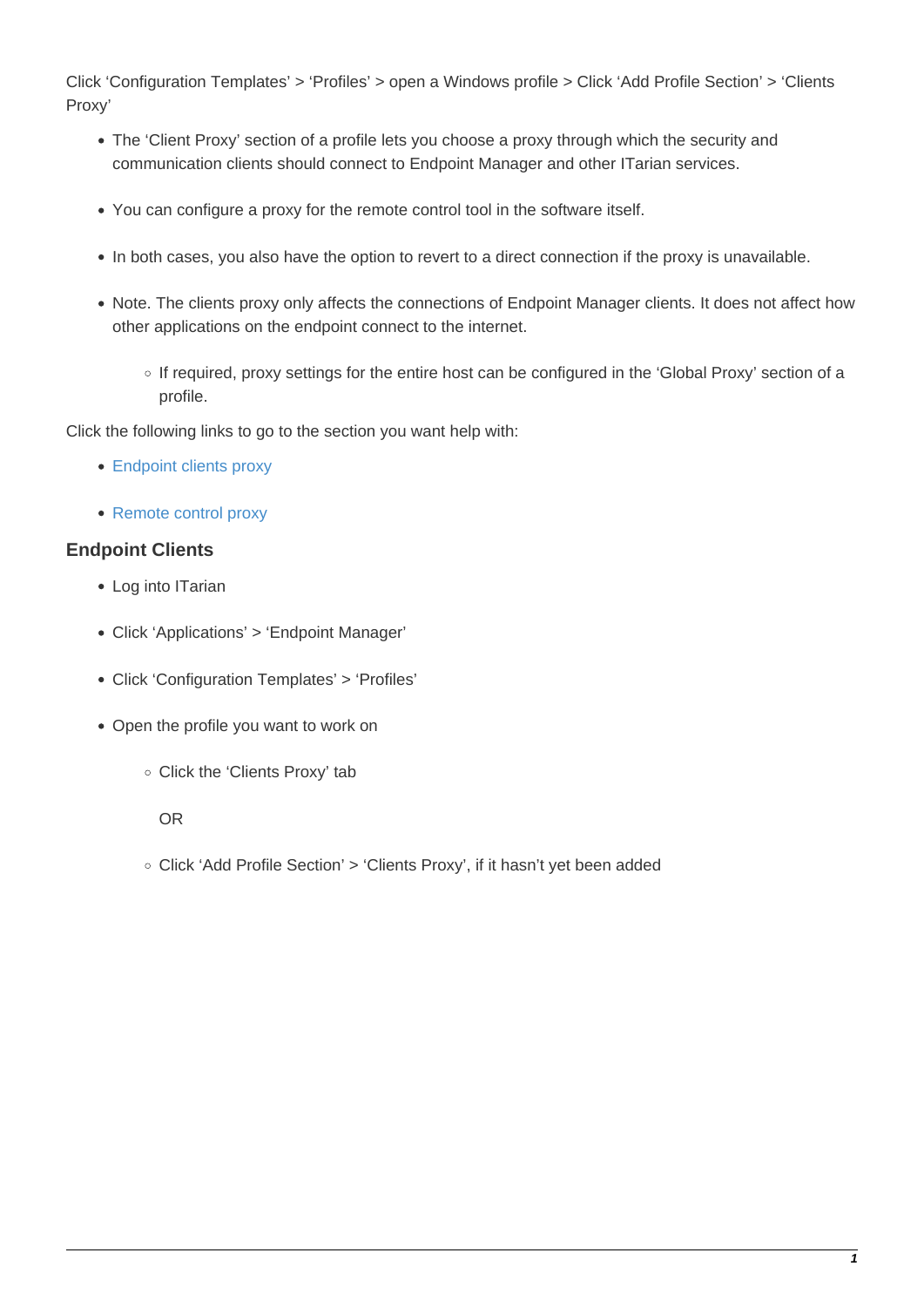Click 'Configuration Templates' > 'Profiles' > open a Windows profile > Click 'Add Profile Section' > 'Clients Proxy'

- The 'Client Proxy' section of a profile lets you choose a proxy through which the security and communication clients should connect to Endpoint Manager and other ITarian services.
- You can configure a proxy for the remote control tool in the software itself.
- In both cases, you also have the option to revert to a direct connection if the proxy is unavailable.
- Note. The clients proxy only affects the connections of Endpoint Manager clients. It does not affect how other applications on the endpoint connect to the internet.
	- o If required, proxy settings for the entire host can be configured in the 'Global Proxy' section of a profile.

Click the following links to go to the section you want help with:

- [Endpoint clients proxy](#page-0-0)
- [Remote control proxy](#page-2-0)

## <span id="page-0-0"></span>**Endpoint Clients**

- Log into ITarian
- Click 'Applications' > 'Endpoint Manager'
- Click 'Configuration Templates' > 'Profiles'
- Open the profile you want to work on
	- Click the 'Clients Proxy' tab

OR

○ Click 'Add Profile Section' > 'Clients Proxy', if it hasn't yet been added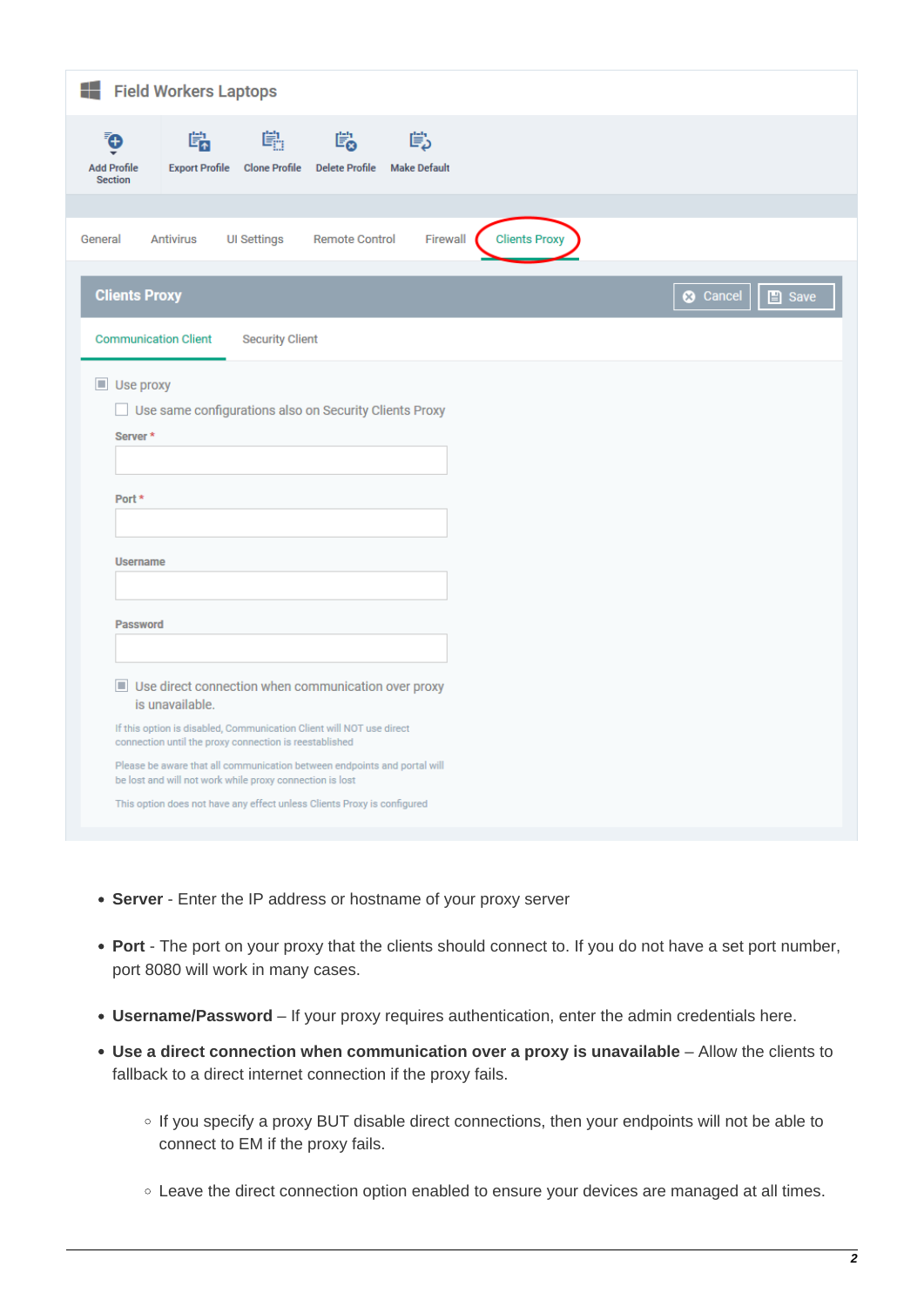| Field Workers Laptops                                                                                                                                                                                                                                                                                                                                                                                                                                                                                                                                                                    |                                                  |                    |                       |                          |                      |  |  |  |  |
|------------------------------------------------------------------------------------------------------------------------------------------------------------------------------------------------------------------------------------------------------------------------------------------------------------------------------------------------------------------------------------------------------------------------------------------------------------------------------------------------------------------------------------------------------------------------------------------|--------------------------------------------------|--------------------|-----------------------|--------------------------|----------------------|--|--|--|--|
| Ō<br><b>Add Profile</b><br><b>Section</b>                                                                                                                                                                                                                                                                                                                                                                                                                                                                                                                                                | 端<br>Export Profile Clone Profile Delete Profile | 鷆                  | 鷗                     | 嘗<br><b>Make Default</b> |                      |  |  |  |  |
|                                                                                                                                                                                                                                                                                                                                                                                                                                                                                                                                                                                          |                                                  |                    |                       |                          |                      |  |  |  |  |
| General                                                                                                                                                                                                                                                                                                                                                                                                                                                                                                                                                                                  | <b>Antivirus</b>                                 | <b>UI Settings</b> | <b>Remote Control</b> | Firewall                 | <b>Clients Proxy</b> |  |  |  |  |
| <b>Clients Proxy</b><br>$\Box$ Save<br><b>3</b> Cancel                                                                                                                                                                                                                                                                                                                                                                                                                                                                                                                                   |                                                  |                    |                       |                          |                      |  |  |  |  |
| <b>Communication Client</b><br><b>Security Client</b>                                                                                                                                                                                                                                                                                                                                                                                                                                                                                                                                    |                                                  |                    |                       |                          |                      |  |  |  |  |
| $\blacksquare$ Use proxy<br>Use same configurations also on Security Clients Proxy<br>Server <sup>*</sup><br>Port *<br><b>Username</b><br><b>Password</b><br>Use direct connection when communication over proxy<br>is unavailable.<br>If this option is disabled, Communication Client will NOT use direct<br>connection until the proxy connection is reestablished<br>Please be aware that all communication between endpoints and portal will<br>be lost and will not work while proxy connection is lost<br>This option does not have any effect unless Clients Proxy is configured |                                                  |                    |                       |                          |                      |  |  |  |  |

- **Server** Enter the IP address or hostname of your proxy server
- **Port** The port on your proxy that the clients should connect to. If you do not have a set port number, port 8080 will work in many cases.
- **Username/Password** If your proxy requires authentication, enter the admin credentials here.
- **Use a direct connection when communication over a proxy is unavailable** Allow the clients to fallback to a direct internet connection if the proxy fails.
	- o If you specify a proxy BUT disable direct connections, then your endpoints will not be able to connect to EM if the proxy fails.
	- Leave the direct connection option enabled to ensure your devices are managed at all times.